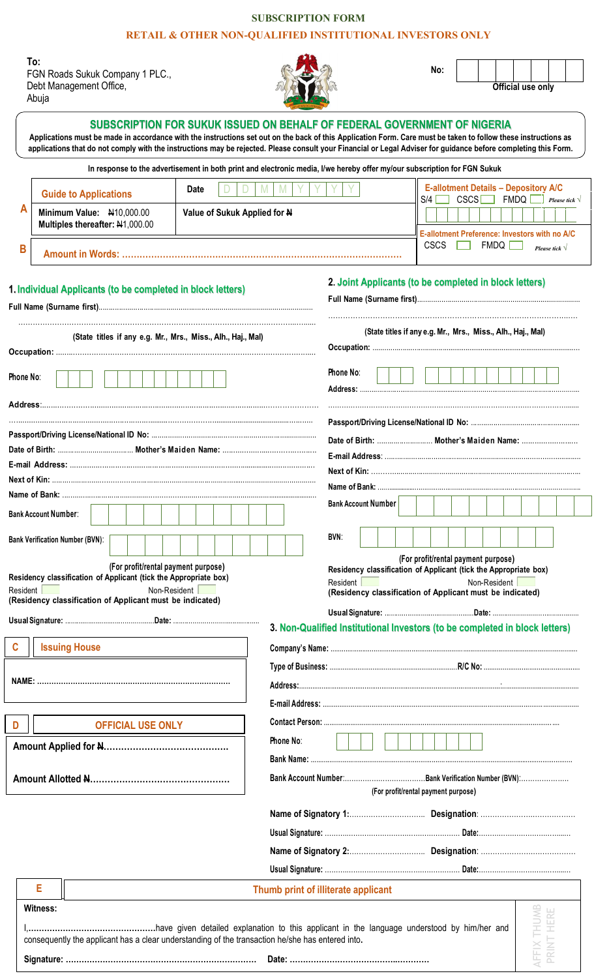## **SUBSCRIPTION FORM**

## **RETAIL & OTHER NON-QUALIFIED INSTITUTIONAL INVESTORS ONLY**

**To:** FGN Roads Sukuk Company 1 PLC., Debt Management Office, Abuja



**No:**

**Official use only**

|                                                                                                   |                                                       |                                                                                                                               |  |  |  |                                                              |  |  |  |              |  |              |  |  |                                                                                                      |  |           |      | In response to the advertisement in both print and electronic media, I/we hereby offer my/our subscription for FGN Sukuk |                                                                              |  |                                     |  |  |  |  |  |  |  |              |  |                                                                                                                                                                                                              |                    |      |  |
|---------------------------------------------------------------------------------------------------|-------------------------------------------------------|-------------------------------------------------------------------------------------------------------------------------------|--|--|--|--------------------------------------------------------------|--|--|--|--------------|--|--------------|--|--|------------------------------------------------------------------------------------------------------|--|-----------|------|--------------------------------------------------------------------------------------------------------------------------|------------------------------------------------------------------------------|--|-------------------------------------|--|--|--|--|--|--|--|--------------|--|--------------------------------------------------------------------------------------------------------------------------------------------------------------------------------------------------------------|--------------------|------|--|
|                                                                                                   | <b>Date</b><br>M<br>M<br><b>Guide to Applications</b> |                                                                                                                               |  |  |  |                                                              |  |  |  |              |  | $S/4$ $\Box$ |  |  |                                                                                                      |  |           |      |                                                                                                                          | <b>E-allotment Details - Depository A/C</b><br>$FMDQ$ Please tick $\sqrt{ }$ |  |                                     |  |  |  |  |  |  |  |              |  |                                                                                                                                                                                                              |                    |      |  |
| А<br>Minimum Value: N10,000.00<br>Value of Sukuk Applied for N<br>Multiples thereafter: N1,000.00 |                                                       |                                                                                                                               |  |  |  |                                                              |  |  |  |              |  |              |  |  |                                                                                                      |  |           | CSCS |                                                                                                                          |                                                                              |  |                                     |  |  |  |  |  |  |  |              |  |                                                                                                                                                                                                              |                    |      |  |
| B                                                                                                 |                                                       |                                                                                                                               |  |  |  |                                                              |  |  |  |              |  |              |  |  | E-allotment Preference: Investors with no A/C<br><b>CSCS</b><br><b>FMDQ</b><br>Please tick $\sqrt{}$ |  |           |      |                                                                                                                          |                                                                              |  |                                     |  |  |  |  |  |  |  |              |  |                                                                                                                                                                                                              |                    |      |  |
|                                                                                                   |                                                       |                                                                                                                               |  |  |  |                                                              |  |  |  |              |  |              |  |  |                                                                                                      |  |           |      |                                                                                                                          |                                                                              |  |                                     |  |  |  |  |  |  |  |              |  |                                                                                                                                                                                                              |                    |      |  |
|                                                                                                   |                                                       | 1. Individual Applicants (to be completed in block letters)                                                                   |  |  |  |                                                              |  |  |  |              |  |              |  |  |                                                                                                      |  |           |      |                                                                                                                          |                                                                              |  |                                     |  |  |  |  |  |  |  |              |  | 2. Joint Applicants (to be completed in block letters)                                                                                                                                                       |                    |      |  |
|                                                                                                   |                                                       |                                                                                                                               |  |  |  | (State titles if any e.g. Mr., Mrs., Miss., Alh., Haj., Mal) |  |  |  |              |  |              |  |  |                                                                                                      |  |           |      |                                                                                                                          |                                                                              |  |                                     |  |  |  |  |  |  |  |              |  | (State titles if any e.g. Mr., Mrs., Miss., Alh., Haj., Mal)                                                                                                                                                 |                    |      |  |
| Phone No:                                                                                         |                                                       |                                                                                                                               |  |  |  |                                                              |  |  |  |              |  |              |  |  |                                                                                                      |  |           |      |                                                                                                                          | Phone No:                                                                    |  |                                     |  |  |  |  |  |  |  |              |  |                                                                                                                                                                                                              |                    |      |  |
|                                                                                                   |                                                       |                                                                                                                               |  |  |  |                                                              |  |  |  |              |  |              |  |  |                                                                                                      |  |           |      |                                                                                                                          |                                                                              |  |                                     |  |  |  |  |  |  |  |              |  |                                                                                                                                                                                                              |                    |      |  |
|                                                                                                   |                                                       |                                                                                                                               |  |  |  |                                                              |  |  |  |              |  |              |  |  |                                                                                                      |  |           |      |                                                                                                                          |                                                                              |  |                                     |  |  |  |  |  |  |  |              |  |                                                                                                                                                                                                              |                    |      |  |
|                                                                                                   |                                                       |                                                                                                                               |  |  |  |                                                              |  |  |  |              |  |              |  |  |                                                                                                      |  |           |      |                                                                                                                          |                                                                              |  |                                     |  |  |  |  |  |  |  |              |  |                                                                                                                                                                                                              |                    |      |  |
|                                                                                                   |                                                       |                                                                                                                               |  |  |  |                                                              |  |  |  |              |  |              |  |  |                                                                                                      |  |           |      |                                                                                                                          |                                                                              |  |                                     |  |  |  |  |  |  |  |              |  |                                                                                                                                                                                                              |                    |      |  |
|                                                                                                   |                                                       |                                                                                                                               |  |  |  |                                                              |  |  |  |              |  |              |  |  |                                                                                                      |  |           |      |                                                                                                                          |                                                                              |  |                                     |  |  |  |  |  |  |  |              |  |                                                                                                                                                                                                              |                    |      |  |
| <b>Bank Account Number:</b>                                                                       |                                                       |                                                                                                                               |  |  |  |                                                              |  |  |  |              |  |              |  |  | <b>Bank Account Number</b>                                                                           |  |           |      |                                                                                                                          |                                                                              |  |                                     |  |  |  |  |  |  |  |              |  |                                                                                                                                                                                                              |                    |      |  |
|                                                                                                   |                                                       | <b>Bank Verification Number (BVN):</b>                                                                                        |  |  |  |                                                              |  |  |  |              |  |              |  |  |                                                                                                      |  |           |      | BVN:                                                                                                                     |                                                                              |  |                                     |  |  |  |  |  |  |  |              |  |                                                                                                                                                                                                              |                    |      |  |
| Resident                                                                                          |                                                       | Residency classification of Applicant (tick the Appropriate box)<br>(Residency classification of Applicant must be indicated) |  |  |  | (For profit/rental payment purpose)                          |  |  |  | Non-Resident |  |              |  |  |                                                                                                      |  |           |      |                                                                                                                          | Resident [                                                                   |  |                                     |  |  |  |  |  |  |  | Non-Resident |  | Residency classification of Applicant (tick the Appropriate box)<br>(Residency classification of Applicant must be indicated)<br>3. Non-Qualified Institutional Investors (to be completed in block letters) |                    |      |  |
|                                                                                                   |                                                       | <b>Issuing House</b>                                                                                                          |  |  |  |                                                              |  |  |  |              |  |              |  |  |                                                                                                      |  |           |      |                                                                                                                          |                                                                              |  |                                     |  |  |  |  |  |  |  |              |  |                                                                                                                                                                                                              |                    |      |  |
|                                                                                                   |                                                       |                                                                                                                               |  |  |  |                                                              |  |  |  |              |  |              |  |  |                                                                                                      |  |           |      |                                                                                                                          |                                                                              |  |                                     |  |  |  |  |  |  |  |              |  |                                                                                                                                                                                                              |                    |      |  |
|                                                                                                   |                                                       |                                                                                                                               |  |  |  |                                                              |  |  |  |              |  |              |  |  |                                                                                                      |  |           |      |                                                                                                                          |                                                                              |  |                                     |  |  |  |  |  |  |  |              |  |                                                                                                                                                                                                              |                    |      |  |
|                                                                                                   |                                                       |                                                                                                                               |  |  |  |                                                              |  |  |  |              |  |              |  |  |                                                                                                      |  |           |      |                                                                                                                          |                                                                              |  |                                     |  |  |  |  |  |  |  |              |  |                                                                                                                                                                                                              |                    |      |  |
| D                                                                                                 |                                                       |                                                                                                                               |  |  |  | <b>OFFICIAL USE ONLY</b>                                     |  |  |  |              |  |              |  |  |                                                                                                      |  |           |      |                                                                                                                          |                                                                              |  |                                     |  |  |  |  |  |  |  |              |  |                                                                                                                                                                                                              |                    |      |  |
|                                                                                                   |                                                       |                                                                                                                               |  |  |  |                                                              |  |  |  |              |  |              |  |  |                                                                                                      |  | Phone No: |      |                                                                                                                          |                                                                              |  |                                     |  |  |  |  |  |  |  |              |  |                                                                                                                                                                                                              |                    |      |  |
|                                                                                                   |                                                       |                                                                                                                               |  |  |  |                                                              |  |  |  |              |  |              |  |  |                                                                                                      |  |           |      |                                                                                                                          |                                                                              |  |                                     |  |  |  |  |  |  |  |              |  |                                                                                                                                                                                                              |                    |      |  |
|                                                                                                   |                                                       |                                                                                                                               |  |  |  |                                                              |  |  |  |              |  |              |  |  |                                                                                                      |  |           |      |                                                                                                                          |                                                                              |  | (For profit/rental payment purpose) |  |  |  |  |  |  |  |              |  |                                                                                                                                                                                                              |                    |      |  |
|                                                                                                   |                                                       |                                                                                                                               |  |  |  |                                                              |  |  |  |              |  |              |  |  |                                                                                                      |  |           |      |                                                                                                                          |                                                                              |  |                                     |  |  |  |  |  |  |  |              |  |                                                                                                                                                                                                              |                    |      |  |
|                                                                                                   |                                                       |                                                                                                                               |  |  |  |                                                              |  |  |  |              |  |              |  |  |                                                                                                      |  |           |      |                                                                                                                          |                                                                              |  |                                     |  |  |  |  |  |  |  |              |  |                                                                                                                                                                                                              |                    |      |  |
|                                                                                                   |                                                       |                                                                                                                               |  |  |  |                                                              |  |  |  |              |  |              |  |  |                                                                                                      |  |           |      |                                                                                                                          |                                                                              |  |                                     |  |  |  |  |  |  |  |              |  |                                                                                                                                                                                                              |                    |      |  |
|                                                                                                   |                                                       |                                                                                                                               |  |  |  |                                                              |  |  |  |              |  |              |  |  |                                                                                                      |  |           |      |                                                                                                                          |                                                                              |  |                                     |  |  |  |  |  |  |  |              |  |                                                                                                                                                                                                              |                    |      |  |
|                                                                                                   | Е                                                     |                                                                                                                               |  |  |  |                                                              |  |  |  |              |  |              |  |  |                                                                                                      |  |           |      | Thumb print of illiterate applicant                                                                                      |                                                                              |  |                                     |  |  |  |  |  |  |  |              |  |                                                                                                                                                                                                              |                    |      |  |
|                                                                                                   |                                                       | <b>Witness:</b>                                                                                                               |  |  |  |                                                              |  |  |  |              |  |              |  |  |                                                                                                      |  |           |      |                                                                                                                          |                                                                              |  |                                     |  |  |  |  |  |  |  |              |  |                                                                                                                                                                                                              |                    | HERE |  |
|                                                                                                   |                                                       |                                                                                                                               |  |  |  |                                                              |  |  |  |              |  |              |  |  |                                                                                                      |  |           |      |                                                                                                                          |                                                                              |  |                                     |  |  |  |  |  |  |  |              |  |                                                                                                                                                                                                              |                    |      |  |
|                                                                                                   |                                                       | consequently the applicant has a clear understanding of the transaction he/she has entered into.                              |  |  |  |                                                              |  |  |  |              |  |              |  |  |                                                                                                      |  |           |      |                                                                                                                          |                                                                              |  |                                     |  |  |  |  |  |  |  |              |  |                                                                                                                                                                                                              | <b>AFFIX THUMB</b> | RINT |  |